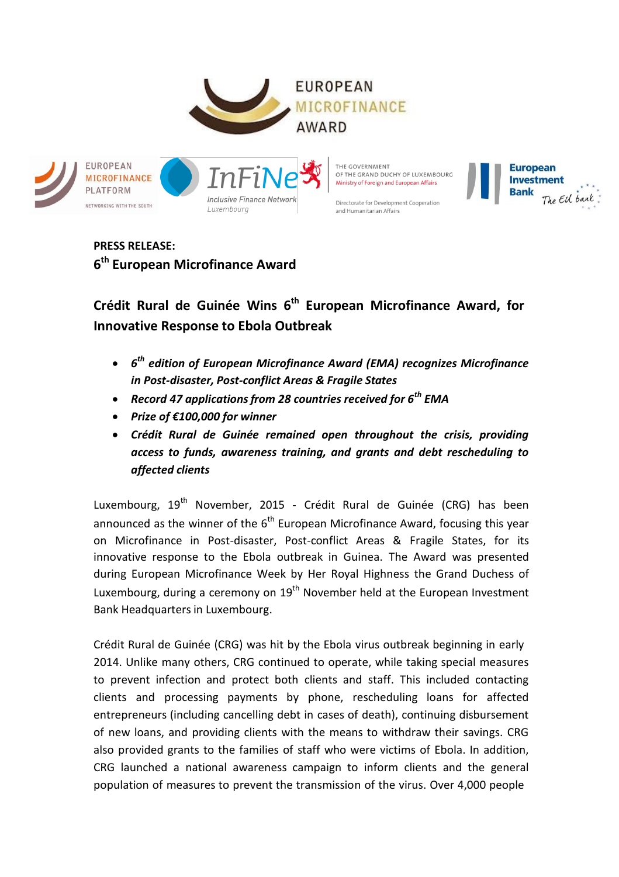

**European** 

**Bank** 

**Investment** 

The EU bank



**PRESS RELEASE: 6th European Microfinance Award**

**Crédit Rural de Guinée Wins 6th European Microfinance Award, for Innovative Response to Ebola Outbreak**

- *6th edition of European Microfinance Award (EMA) recognizes Microfinance in Post-disaster, Post-conflict Areas & Fragile States*
- *Record 47 applicationsfrom 28 countries received for 6th EMA*
- *Prize of €100,000 for winner*
- *Crédit Rural de Guinée remained open throughout the crisis, providing access to funds, awareness training, and grants and debt rescheduling to affected clients*

Luxembourg, 19<sup>th</sup> November, 2015 - Crédit Rural de Guinée (CRG) has been announced as the winner of the  $6<sup>th</sup>$  European Microfinance Award, focusing this year on Microfinance in Post-disaster, Post-conflict Areas & Fragile States, for its innovative response to the Ebola outbreak in Guinea. The Award was presented during European Microfinance Week by Her Royal Highness the Grand Duchess of Luxembourg, during a ceremony on  $19<sup>th</sup>$  November held at the European Investment Bank Headquarters in Luxembourg.

Crédit Rural de Guinée (CRG) was hit by the Ebola virus outbreak beginning in early 2014. Unlike many others, CRG continued to operate, while taking special measures to prevent infection and protect both clients and staff. This included contacting clients and processing payments by phone, rescheduling loans for affected entrepreneurs (including cancelling debt in cases of death), continuing disbursement of new loans, and providing clients with the means to withdraw their savings. CRG also provided grants to the families of staff who were victims of Ebola. In addition, CRG launched a national awareness campaign to inform clients and the general population of measures to prevent the transmission of the virus. Over 4,000 people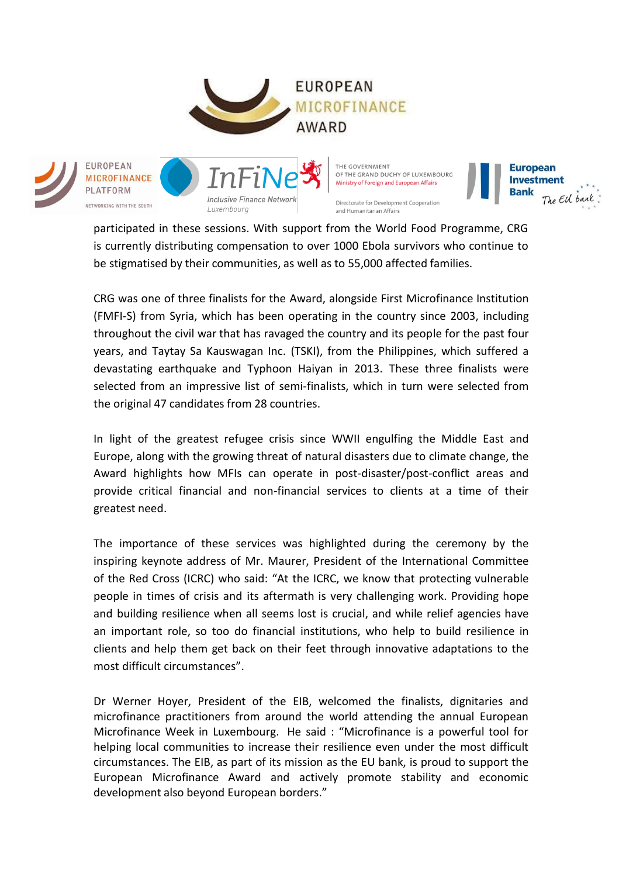



participated in these sessions. With support from the World Food Programme, CRG is currently distributing compensation to over 1000 Ebola survivors who continue to be stigmatised by their communities, as well as to 55,000 affected families.

**European** 

**Bank** 

**Investment** 

The EU bank

CRG was one of three finalists for the Award, alongside First Microfinance Institution (FMFI-S) from Syria, which has been operating in the country since 2003, including throughout the civil war that has ravaged the country and its people for the past four years, and Taytay Sa Kauswagan Inc. (TSKI), from the Philippines, which suffered a devastating earthquake and Typhoon Haiyan in 2013. These three finalists were selected from an impressive list of semi-finalists, which in turn were selected from the original 47 candidates from 28 countries.

In light of the greatest refugee crisis since WWII engulfing the Middle East and Europe, along with the growing threat of natural disasters due to climate change, the Award highlights how MFIs can operate in post-disaster/post-conflict areas and provide critical financial and non-financial services to clients at a time of their greatest need.

The importance of these services was highlighted during the ceremony by the inspiring keynote address of Mr. Maurer, President of the International Committee of the Red Cross (ICRC) who said: "At the ICRC, we know that protecting vulnerable people in times of crisis and its aftermath is very challenging work. Providing hope and building resilience when all seems lost is crucial, and while relief agencies have an important role, so too do financial institutions, who help to build resilience in clients and help them get back on their feet through innovative adaptations to the most difficult circumstances".

Dr Werner Hoyer, President of the EIB, welcomed the finalists, dignitaries and microfinance practitioners from around the world attending the annual European Microfinance Week in Luxembourg. He said : "Microfinance is a powerful tool for helping local communities to increase their resilience even under the most difficult circumstances. The EIB, as part of its mission as the EU bank, is proud to support the European Microfinance Award and actively promote stability and economic development also beyond European borders."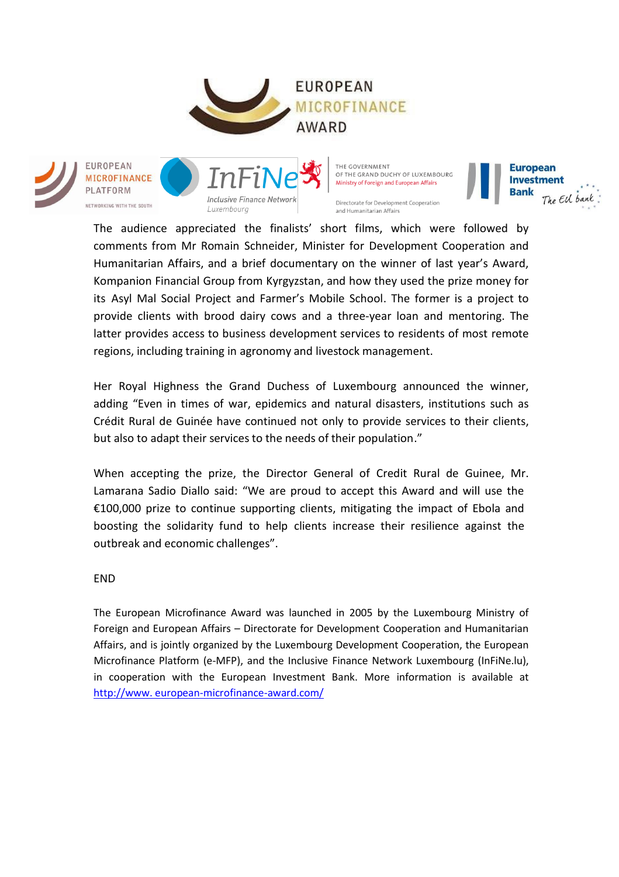





THE GOVERNMENT OF THE GRAND DUCHY OF LUXEMBOURG Ministry of Foreign and European Affairs

Directorate for Development Cooperation

and Humanitarian Affairs

**European Investment Bank** The EU bank

The audience appreciated the finalists' short films, which were followed by comments from Mr Romain Schneider, Minister for Development Cooperation and Humanitarian Affairs, and a brief documentary on the winner of last year's Award, Kompanion Financial Group from Kyrgyzstan, and how they used the prize money for its Asyl Mal Social Project and Farmer's Mobile School. The former is a project to provide clients with brood dairy cows and a three-year loan and mentoring. The latter provides access to business development services to residents of most remote regions, including training in agronomy and livestock management.

Her Royal Highness the Grand Duchess of Luxembourg announced the winner, adding "Even in times of war, epidemics and natural disasters, institutions such as Crédit Rural de Guinée have continued not only to provide services to their clients, but also to adapt their services to the needs of their population."

When accepting the prize, the Director General of Credit Rural de Guinee, Mr. Lamarana Sadio Diallo said: "We are proud to accept this Award and will use the €100,000 prize to continue supporting clients, mitigating the impact of Ebola and boosting the solidarity fund to help clients increase their resilience against the outbreak and economic challenges".

END

The European Microfinance Award was launched in 2005 by the Luxembourg Ministry of Foreign and European Affairs – Directorate for Development Cooperation and Humanitarian Affairs, and is jointly organized by the Luxembourg Development Cooperation, the European Microfinance Platform (e-MFP), and the Inclusive Finance Network Luxembourg (InFiNe.lu), in cooperation with the European Investment Bank. More information is available at [http://www.](http://www/) european-microfinance-award.com/